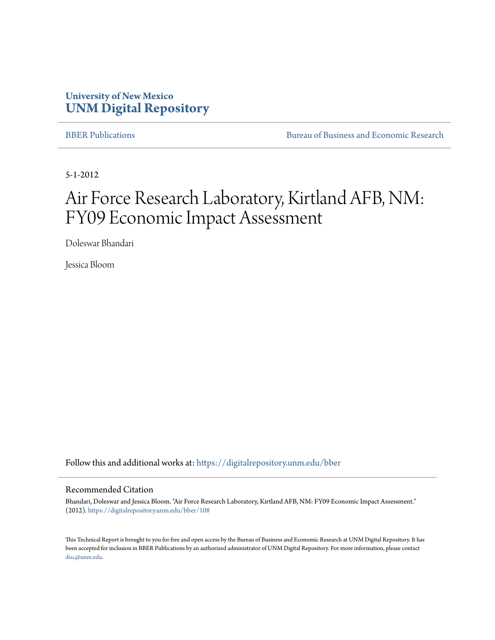## **University of New Mexico [UNM Digital Repository](https://digitalrepository.unm.edu?utm_source=digitalrepository.unm.edu%2Fbber%2F108&utm_medium=PDF&utm_campaign=PDFCoverPages)**

[BBER Publications](https://digitalrepository.unm.edu/bber?utm_source=digitalrepository.unm.edu%2Fbber%2F108&utm_medium=PDF&utm_campaign=PDFCoverPages) **BUREAU SERVICES** [Bureau of Business and Economic Research](https://digitalrepository.unm.edu/business_economic_research?utm_source=digitalrepository.unm.edu%2Fbber%2F108&utm_medium=PDF&utm_campaign=PDFCoverPages)

5-1-2012

# Air Force Research Laboratory, Kirtland AFB, NM: FY09 Economic Impact Assessment

Doleswar Bhandari

Jessica Bloom

Follow this and additional works at: [https://digitalrepository.unm.edu/bber](https://digitalrepository.unm.edu/bber?utm_source=digitalrepository.unm.edu%2Fbber%2F108&utm_medium=PDF&utm_campaign=PDFCoverPages)

#### Recommended Citation

Bhandari, Doleswar and Jessica Bloom. "Air Force Research Laboratory, Kirtland AFB, NM: FY09 Economic Impact Assessment." (2012). [https://digitalrepository.unm.edu/bber/108](https://digitalrepository.unm.edu/bber/108?utm_source=digitalrepository.unm.edu%2Fbber%2F108&utm_medium=PDF&utm_campaign=PDFCoverPages)

This Technical Report is brought to you for free and open access by the Bureau of Business and Economic Research at UNM Digital Repository. It has been accepted for inclusion in BBER Publications by an authorized administrator of UNM Digital Repository. For more information, please contact [disc@unm.edu](mailto:disc@unm.edu).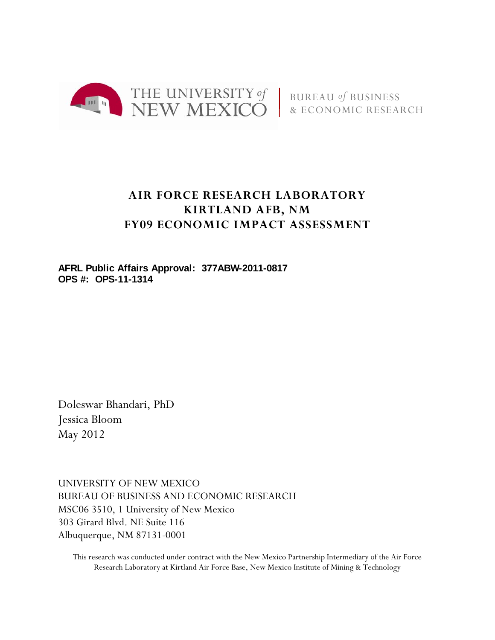

## **AIR FORCE RESEARCH LABORATORY KIRTLAND AFB, NM FY09 ECONOMIC IMPACT ASSESSMENT**

**AFRL Public Affairs Approval: 377ABW-2011-0817 OPS #: OPS-11-1314** 

Doleswar Bhandari, PhD Jessica Bloom May 2012

UNIVERSITY OF NEW MEXICO BUREAU OF BUSINESS AND ECONOMIC RESEARCH MSC06 3510, 1 University of New Mexico 303 Girard Blvd. NE Suite 116 Albuquerque, NM 87131-0001

This research was conducted under contract with the New Mexico Partnership Intermediary of the Air Force Research Laboratory at Kirtland Air Force Base, New Mexico Institute of Mining & Technology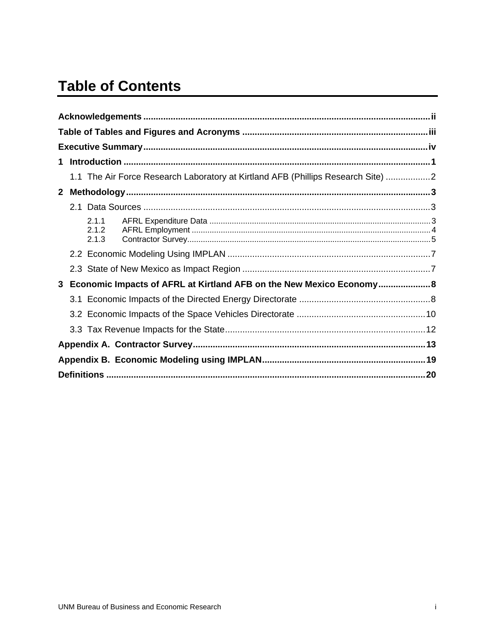## **Table of Contents**

| $\mathbf 1$ |                         |                                                                                  |  |
|-------------|-------------------------|----------------------------------------------------------------------------------|--|
|             |                         | 1.1 The Air Force Research Laboratory at Kirtland AFB (Phillips Research Site) 2 |  |
|             |                         |                                                                                  |  |
|             |                         |                                                                                  |  |
|             | 2.1.1<br>2.1.2<br>2.1.3 |                                                                                  |  |
|             |                         |                                                                                  |  |
|             |                         |                                                                                  |  |
|             |                         | 3 Economic Impacts of AFRL at Kirtland AFB on the New Mexico Economy 8           |  |
|             |                         |                                                                                  |  |
|             |                         |                                                                                  |  |
|             |                         |                                                                                  |  |
|             |                         |                                                                                  |  |
|             |                         |                                                                                  |  |
|             |                         |                                                                                  |  |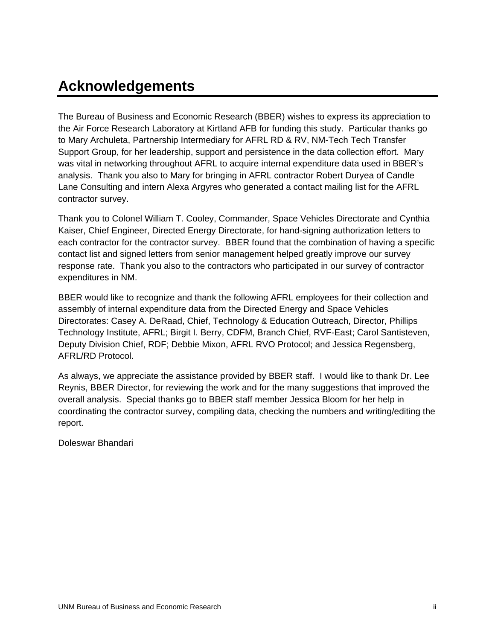## **Acknowledgements**

The Bureau of Business and Economic Research (BBER) wishes to express its appreciation to the Air Force Research Laboratory at Kirtland AFB for funding this study. Particular thanks go to Mary Archuleta, Partnership Intermediary for AFRL RD & RV, NM-Tech Tech Transfer Support Group, for her leadership, support and persistence in the data collection effort. Mary was vital in networking throughout AFRL to acquire internal expenditure data used in BBER's analysis. Thank you also to Mary for bringing in AFRL contractor Robert Duryea of Candle Lane Consulting and intern Alexa Argyres who generated a contact mailing list for the AFRL contractor survey.

Thank you to Colonel William T. Cooley, Commander, Space Vehicles Directorate and Cynthia Kaiser, Chief Engineer, Directed Energy Directorate, for hand-signing authorization letters to each contractor for the contractor survey. BBER found that the combination of having a specific contact list and signed letters from senior management helped greatly improve our survey response rate. Thank you also to the contractors who participated in our survey of contractor expenditures in NM.

BBER would like to recognize and thank the following AFRL employees for their collection and assembly of internal expenditure data from the Directed Energy and Space Vehicles Directorates: Casey A. DeRaad, Chief, Technology & Education Outreach, Director, Phillips Technology Institute, AFRL; Birgit I. Berry, CDFM, Branch Chief, RVF-East; Carol Santisteven, Deputy Division Chief, RDF; Debbie Mixon, AFRL RVO Protocol; and Jessica Regensberg, AFRL/RD Protocol.

As always, we appreciate the assistance provided by BBER staff. I would like to thank Dr. Lee Reynis, BBER Director, for reviewing the work and for the many suggestions that improved the overall analysis. Special thanks go to BBER staff member Jessica Bloom for her help in coordinating the contractor survey, compiling data, checking the numbers and writing/editing the report.

Doleswar Bhandari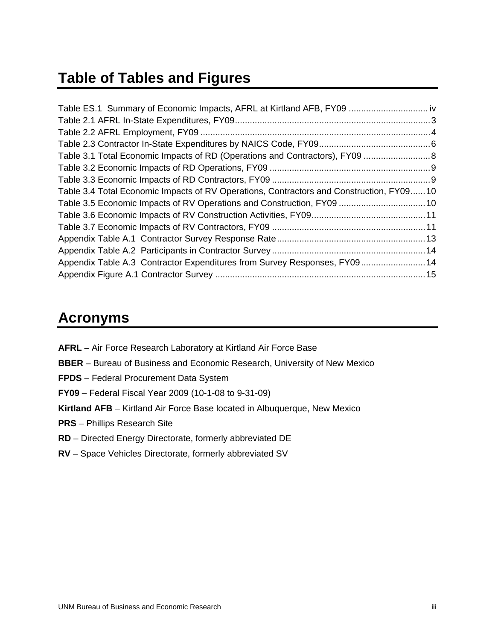## **Table of Tables and Figures**

| Table ES.1 Summary of Economic Impacts, AFRL at Kirtland AFB, FY09  iv                  |  |
|-----------------------------------------------------------------------------------------|--|
|                                                                                         |  |
|                                                                                         |  |
|                                                                                         |  |
|                                                                                         |  |
|                                                                                         |  |
|                                                                                         |  |
| Table 3.4 Total Economic Impacts of RV Operations, Contractors and Construction, FY0910 |  |
| Table 3.5 Economic Impacts of RV Operations and Construction, FY09  10                  |  |
|                                                                                         |  |
|                                                                                         |  |
|                                                                                         |  |
|                                                                                         |  |
| Appendix Table A.3 Contractor Expenditures from Survey Responses, FY09 14               |  |
|                                                                                         |  |

## **Acronyms**

- **AFRL** Air Force Research Laboratory at Kirtland Air Force Base
- **BBER** Bureau of Business and Economic Research, University of New Mexico
- **FPDS** Federal Procurement Data System
- **FY09** Federal Fiscal Year 2009 (10-1-08 to 9-31-09)
- **Kirtland AFB** Kirtland Air Force Base located in Albuquerque, New Mexico
- **PRS** Phillips Research Site
- **RD** Directed Energy Directorate, formerly abbreviated DE
- **RV** Space Vehicles Directorate, formerly abbreviated SV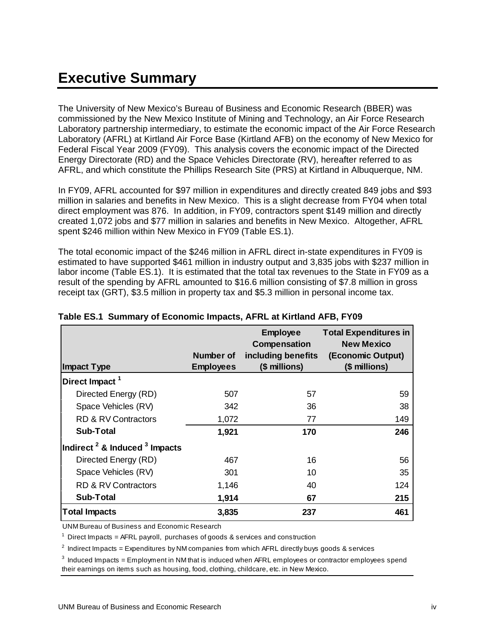# **Executive Summary**

The University of New Mexico's Bureau of Business and Economic Research (BBER) was commissioned by the New Mexico Institute of Mining and Technology, an Air Force Research Laboratory partnership intermediary, to estimate the economic impact of the Air Force Research Laboratory (AFRL) at Kirtland Air Force Base (Kirtland AFB) on the economy of New Mexico for Federal Fiscal Year 2009 (FY09). This analysis covers the economic impact of the Directed Energy Directorate (RD) and the Space Vehicles Directorate (RV), hereafter referred to as AFRL, and which constitute the Phillips Research Site (PRS) at Kirtland in Albuquerque, NM.

In FY09, AFRL accounted for \$97 million in expenditures and directly created 849 jobs and \$93 million in salaries and benefits in New Mexico. This is a slight decrease from FY04 when total direct employment was 876. In addition, in FY09, contractors spent \$149 million and directly created 1,072 jobs and \$77 million in salaries and benefits in New Mexico. Altogether, AFRL spent \$246 million within New Mexico in FY09 (Table ES.1).

The total economic impact of the \$246 million in AFRL direct in-state expenditures in FY09 is estimated to have supported \$461 million in industry output and 3,835 jobs with \$237 million in labor income (Table ES.1). It is estimated that the total tax revenues to the State in FY09 as a result of the spending by AFRL amounted to \$16.6 million consisting of \$7.8 million in gross receipt tax (GRT), \$3.5 million in property tax and \$5.3 million in personal income tax.

|                                      |                               | <b>Employee</b><br>Compensation     | <b>Total Expenditures in</b><br><b>New Mexico</b> |
|--------------------------------------|-------------------------------|-------------------------------------|---------------------------------------------------|
| Impact Type                          | Number of<br><b>Employees</b> | including benefits<br>(\$ millions) | (Economic Output)<br>(\$ millions)                |
| Direct Impact <sup>1</sup>           |                               |                                     |                                                   |
| Directed Energy (RD)                 | 507                           | 57                                  | 59                                                |
| Space Vehicles (RV)                  | 342                           | 36                                  | 38                                                |
| <b>RD &amp; RV Contractors</b>       | 1,072                         | 77                                  | 149                                               |
| Sub-Total                            | 1,921                         | 170                                 | 246                                               |
| Indirect $^2$ & Induced $^3$ Impacts |                               |                                     |                                                   |
| Directed Energy (RD)                 | 467                           | 16                                  | 56                                                |
| Space Vehicles (RV)                  | 301                           | 10                                  | 35                                                |
| <b>RD &amp; RV Contractors</b>       | 1,146                         | 40                                  | 124                                               |
| <b>Sub-Total</b>                     | 1,914                         | 67                                  | 215                                               |
| <b>Total Impacts</b>                 | 3,835                         | 237                                 | 461                                               |

### **Table ES.1 Summary of Economic Impacts, AFRL at Kirtland AFB, FY09**

UNM Bureau of Business and Economic Research

 $1$  Direct Impacts = AFRL payroll, purchases of goods & services and construction

 $^2$  Indirect Impacts = Expenditures by NM companies from which AFRL directly buys goods & services

 $3$  Induced Impacts = Employment in NM that is induced when AFRL employees or contractor employees spend their earnings on items such as housing, food, clothing, childcare, etc. in New Mexico.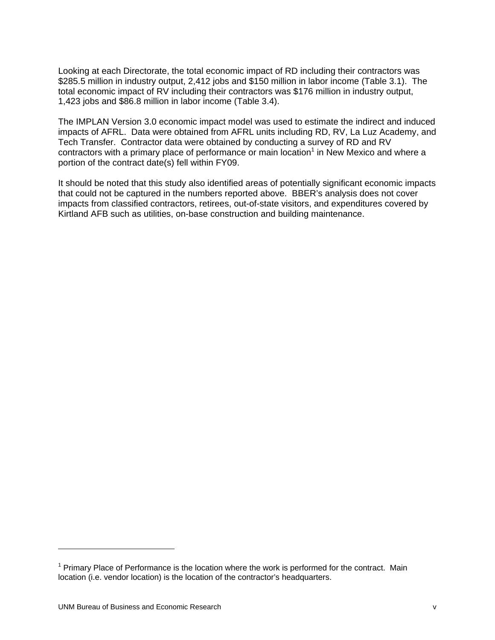Looking at each Directorate, the total economic impact of RD including their contractors was \$285.5 million in industry output, 2,412 jobs and \$150 million in labor income (Table 3.1). The total economic impact of RV including their contractors was \$176 million in industry output, 1,423 jobs and \$86.8 million in labor income (Table 3.4).

The IMPLAN Version 3.0 economic impact model was used to estimate the indirect and induced impacts of AFRL. Data were obtained from AFRL units including RD, RV, La Luz Academy, and Tech Transfer. Contractor data were obtained by conducting a survey of RD and RV contractors with a primary place of performance or main location<sup>1</sup> in New Mexico and where a portion of the contract date(s) fell within FY09.

It should be noted that this study also identified areas of potentially significant economic impacts that could not be captured in the numbers reported above. BBER's analysis does not cover impacts from classified contractors, retirees, out-of-state visitors, and expenditures covered by Kirtland AFB such as utilities, on-base construction and building maintenance.

 $\overline{a}$ 

<sup>&</sup>lt;sup>1</sup> Primary Place of Performance is the location where the work is performed for the contract. Main location (i.e. vendor location) is the location of the contractor's headquarters.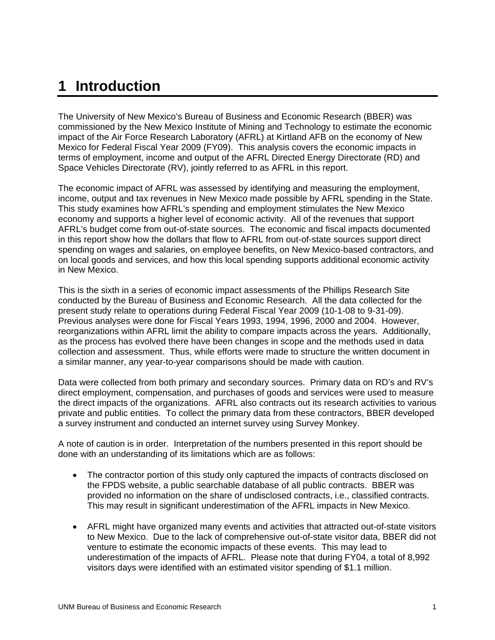## **1 Introduction**

The University of New Mexico's Bureau of Business and Economic Research (BBER) was commissioned by the New Mexico Institute of Mining and Technology to estimate the economic impact of the Air Force Research Laboratory (AFRL) at Kirtland AFB on the economy of New Mexico for Federal Fiscal Year 2009 (FY09). This analysis covers the economic impacts in terms of employment, income and output of the AFRL Directed Energy Directorate (RD) and Space Vehicles Directorate (RV), jointly referred to as AFRL in this report.

The economic impact of AFRL was assessed by identifying and measuring the employment, income, output and tax revenues in New Mexico made possible by AFRL spending in the State. This study examines how AFRL's spending and employment stimulates the New Mexico economy and supports a higher level of economic activity. All of the revenues that support AFRL's budget come from out-of-state sources. The economic and fiscal impacts documented in this report show how the dollars that flow to AFRL from out-of-state sources support direct spending on wages and salaries, on employee benefits, on New Mexico-based contractors, and on local goods and services, and how this local spending supports additional economic activity in New Mexico.

This is the sixth in a series of economic impact assessments of the Phillips Research Site conducted by the Bureau of Business and Economic Research. All the data collected for the present study relate to operations during Federal Fiscal Year 2009 (10-1-08 to 9-31-09). Previous analyses were done for Fiscal Years 1993, 1994, 1996, 2000 and 2004. However, reorganizations within AFRL limit the ability to compare impacts across the years. Additionally, as the process has evolved there have been changes in scope and the methods used in data collection and assessment. Thus, while efforts were made to structure the written document in a similar manner, any year-to-year comparisons should be made with caution.

Data were collected from both primary and secondary sources. Primary data on RD's and RV's direct employment, compensation, and purchases of goods and services were used to measure the direct impacts of the organizations. AFRL also contracts out its research activities to various private and public entities. To collect the primary data from these contractors, BBER developed a survey instrument and conducted an internet survey using Survey Monkey.

A note of caution is in order. Interpretation of the numbers presented in this report should be done with an understanding of its limitations which are as follows:

- The contractor portion of this study only captured the impacts of contracts disclosed on the FPDS website, a public searchable database of all public contracts. BBER was provided no information on the share of undisclosed contracts, i.e., classified contracts. This may result in significant underestimation of the AFRL impacts in New Mexico.
- AFRL might have organized many events and activities that attracted out-of-state visitors to New Mexico. Due to the lack of comprehensive out-of-state visitor data, BBER did not venture to estimate the economic impacts of these events. This may lead to underestimation of the impacts of AFRL. Please note that during FY04, a total of 8,992 visitors days were identified with an estimated visitor spending of \$1.1 million.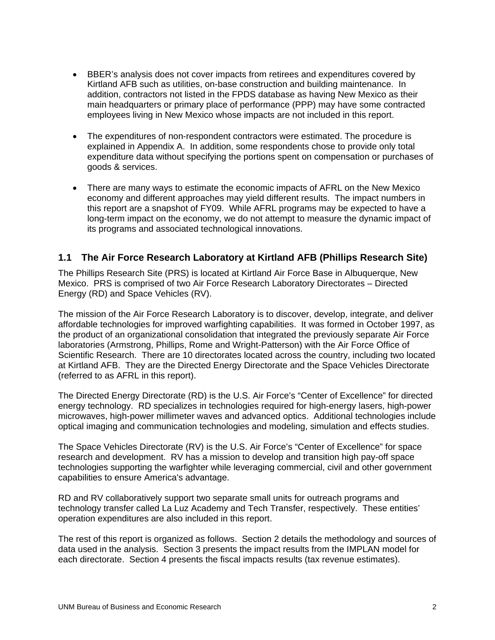- BBER's analysis does not cover impacts from retirees and expenditures covered by Kirtland AFB such as utilities, on-base construction and building maintenance. In addition, contractors not listed in the FPDS database as having New Mexico as their main headquarters or primary place of performance (PPP) may have some contracted employees living in New Mexico whose impacts are not included in this report.
- The expenditures of non-respondent contractors were estimated. The procedure is explained in Appendix A. In addition, some respondents chose to provide only total expenditure data without specifying the portions spent on compensation or purchases of goods & services.
- There are many ways to estimate the economic impacts of AFRL on the New Mexico economy and different approaches may yield different results. The impact numbers in this report are a snapshot of FY09. While AFRL programs may be expected to have a long-term impact on the economy, we do not attempt to measure the dynamic impact of its programs and associated technological innovations.

### **1.1 The Air Force Research Laboratory at Kirtland AFB (Phillips Research Site)**

The Phillips Research Site (PRS) is located at Kirtland Air Force Base in Albuquerque, New Mexico. PRS is comprised of two Air Force Research Laboratory Directorates – Directed Energy (RD) and Space Vehicles (RV).

The mission of the Air Force Research Laboratory is to discover, develop, integrate, and deliver affordable technologies for improved warfighting capabilities. It was formed in October 1997, as the product of an organizational consolidation that integrated the previously separate Air Force laboratories (Armstrong, Phillips, Rome and Wright-Patterson) with the Air Force Office of Scientific Research. There are 10 directorates located across the country, including two located at Kirtland AFB. They are the Directed Energy Directorate and the Space Vehicles Directorate (referred to as AFRL in this report).

The Directed Energy Directorate (RD) is the U.S. Air Force's "Center of Excellence" for directed energy technology. RD specializes in technologies required for high-energy lasers, high-power microwaves, high-power millimeter waves and advanced optics. Additional technologies include optical imaging and communication technologies and modeling, simulation and effects studies.

The Space Vehicles Directorate (RV) is the U.S. Air Force's "Center of Excellence" for space research and development. RV has a mission to develop and transition high pay-off space technologies supporting the warfighter while leveraging commercial, civil and other government capabilities to ensure America's advantage.

RD and RV collaboratively support two separate small units for outreach programs and technology transfer called La Luz Academy and Tech Transfer, respectively. These entities' operation expenditures are also included in this report.

The rest of this report is organized as follows. Section 2 details the methodology and sources of data used in the analysis. Section 3 presents the impact results from the IMPLAN model for each directorate. Section 4 presents the fiscal impacts results (tax revenue estimates).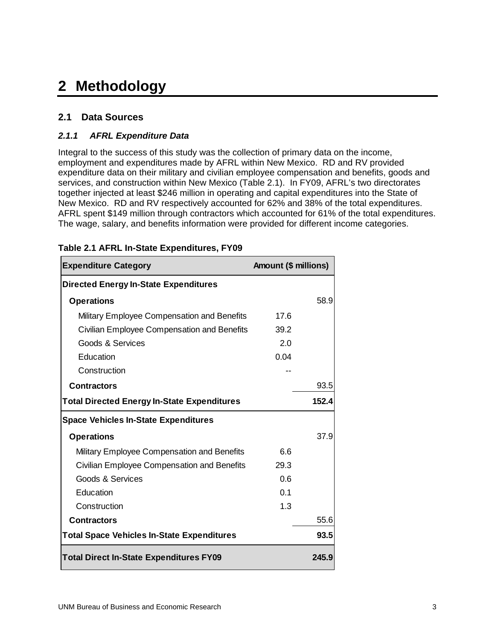# **2 Methodology**

## **2.1 Data Sources**

### *2.1.1 AFRL Expenditure Data*

Integral to the success of this study was the collection of primary data on the income, employment and expenditures made by AFRL within New Mexico. RD and RV provided expenditure data on their military and civilian employee compensation and benefits, goods and services, and construction within New Mexico (Table 2.1). In FY09, AFRL's two directorates together injected at least \$246 million in operating and capital expenditures into the State of New Mexico. RD and RV respectively accounted for 62% and 38% of the total expenditures. AFRL spent \$149 million through contractors which accounted for 61% of the total expenditures. The wage, salary, and benefits information were provided for different income categories.

| <b>Expenditure Category</b>                        | Amount (\$ millions) |       |
|----------------------------------------------------|----------------------|-------|
| <b>Directed Energy In-State Expenditures</b>       |                      |       |
| <b>Operations</b>                                  |                      | 58.9  |
| Military Employee Compensation and Benefits        | 17.6                 |       |
| Civilian Employee Compensation and Benefits        | 39.2                 |       |
| Goods & Services                                   | 2.0                  |       |
| Education                                          | 0.04                 |       |
| Construction                                       |                      |       |
| <b>Contractors</b>                                 |                      | 93.5  |
| <b>Total Directed Energy In-State Expenditures</b> |                      | 152.4 |
| <b>Space Vehicles In-State Expenditures</b>        |                      |       |
| <b>Operations</b>                                  |                      | 37.9  |
| Military Employee Compensation and Benefits        | 6.6                  |       |
| Civilian Employee Compensation and Benefits        | 29.3                 |       |
| Goods & Services                                   | 0.6                  |       |
| Education                                          | 0.1                  |       |
| Construction                                       | 1.3                  |       |
| <b>Contractors</b>                                 |                      | 55.6  |
| <b>Total Space Vehicles In-State Expenditures</b>  |                      | 93.5  |
| <b>Total Direct In-State Expenditures FY09</b>     |                      | 245.9 |

#### **Table 2.1 AFRL In-State Expenditures, FY09**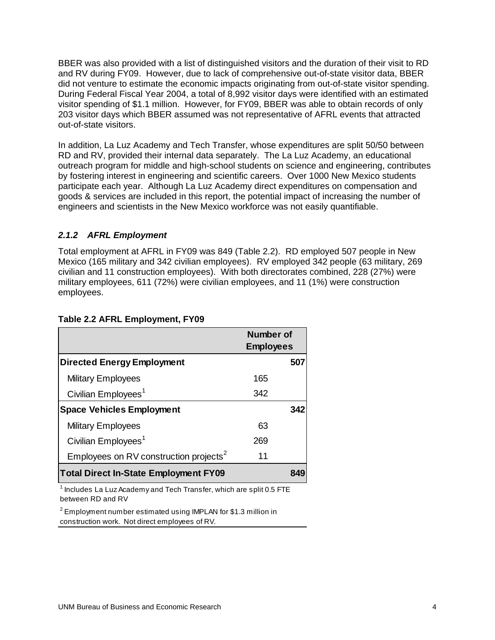BBER was also provided with a list of distinguished visitors and the duration of their visit to RD and RV during FY09. However, due to lack of comprehensive out-of-state visitor data, BBER did not venture to estimate the economic impacts originating from out-of-state visitor spending. During Federal Fiscal Year 2004, a total of 8,992 visitor days were identified with an estimated visitor spending of \$1.1 million. However, for FY09, BBER was able to obtain records of only 203 visitor days which BBER assumed was not representative of AFRL events that attracted out-of-state visitors.

In addition, La Luz Academy and Tech Transfer, whose expenditures are split 50/50 between RD and RV, provided their internal data separately. The La Luz Academy, an educational outreach program for middle and high-school students on science and engineering, contributes by fostering interest in engineering and scientific careers. Over 1000 New Mexico students participate each year. Although La Luz Academy direct expenditures on compensation and goods & services are included in this report, the potential impact of increasing the number of engineers and scientists in the New Mexico workforce was not easily quantifiable.

### *2.1.2 AFRL Employment*

Total employment at AFRL in FY09 was 849 (Table 2.2). RD employed 507 people in New Mexico (165 military and 342 civilian employees). RV employed 342 people (63 military, 269 civilian and 11 construction employees). With both directorates combined, 228 (27%) were military employees, 611 (72%) were civilian employees, and 11 (1%) were construction employees.

|                                                    | Number of<br><b>Employees</b> |     |
|----------------------------------------------------|-------------------------------|-----|
| <b>Directed Energy Employment</b>                  |                               | 507 |
| <b>Military Employees</b>                          | 165                           |     |
| Civilian Employees <sup>1</sup>                    | 342                           |     |
| <b>Space Vehicles Employment</b>                   |                               | 342 |
| <b>Military Employees</b>                          | 63                            |     |
| Civilian Employees <sup>1</sup>                    | 269                           |     |
| Employees on RV construction projects <sup>2</sup> | 11                            |     |
| <b>Total Direct In-State Employment FY09</b>       |                               | 849 |

#### **Table 2.2 AFRL Employment, FY09**

 $^{\text{1}}$  Includes La Luz Academy and Tech Transfer, which are split 0.5 FTE between RD and RV

 $^2$  Employment number estimated using IMPLAN for \$1.3 million in construction work. Not direct employees of RV.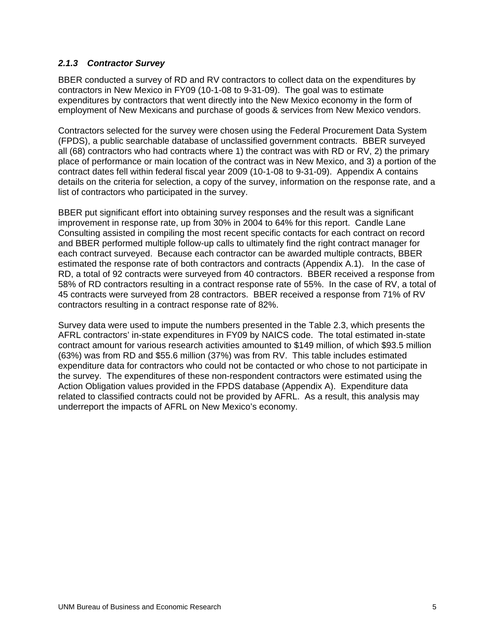#### *2.1.3 Contractor Survey*

BBER conducted a survey of RD and RV contractors to collect data on the expenditures by contractors in New Mexico in FY09 (10-1-08 to 9-31-09). The goal was to estimate expenditures by contractors that went directly into the New Mexico economy in the form of employment of New Mexicans and purchase of goods & services from New Mexico vendors.

Contractors selected for the survey were chosen using the Federal Procurement Data System (FPDS), a public searchable database of unclassified government contracts. BBER surveyed all (68) contractors who had contracts where 1) the contract was with RD or RV, 2) the primary place of performance or main location of the contract was in New Mexico, and 3) a portion of the contract dates fell within federal fiscal year 2009 (10-1-08 to 9-31-09). Appendix A contains details on the criteria for selection, a copy of the survey, information on the response rate, and a list of contractors who participated in the survey.

BBER put significant effort into obtaining survey responses and the result was a significant improvement in response rate, up from 30% in 2004 to 64% for this report. Candle Lane Consulting assisted in compiling the most recent specific contacts for each contract on record and BBER performed multiple follow-up calls to ultimately find the right contract manager for each contract surveyed. Because each contractor can be awarded multiple contracts, BBER estimated the response rate of both contractors and contracts (Appendix A.1). In the case of RD, a total of 92 contracts were surveyed from 40 contractors. BBER received a response from 58% of RD contractors resulting in a contract response rate of 55%. In the case of RV, a total of 45 contracts were surveyed from 28 contractors. BBER received a response from 71% of RV contractors resulting in a contract response rate of 82%.

Survey data were used to impute the numbers presented in the Table 2.3, which presents the AFRL contractors' in-state expenditures in FY09 by NAICS code. The total estimated in-state contract amount for various research activities amounted to \$149 million, of which \$93.5 million (63%) was from RD and \$55.6 million (37%) was from RV. This table includes estimated expenditure data for contractors who could not be contacted or who chose to not participate in the survey. The expenditures of these non-respondent contractors were estimated using the Action Obligation values provided in the FPDS database (Appendix A). Expenditure data related to classified contracts could not be provided by AFRL. As a result, this analysis may underreport the impacts of AFRL on New Mexico's economy.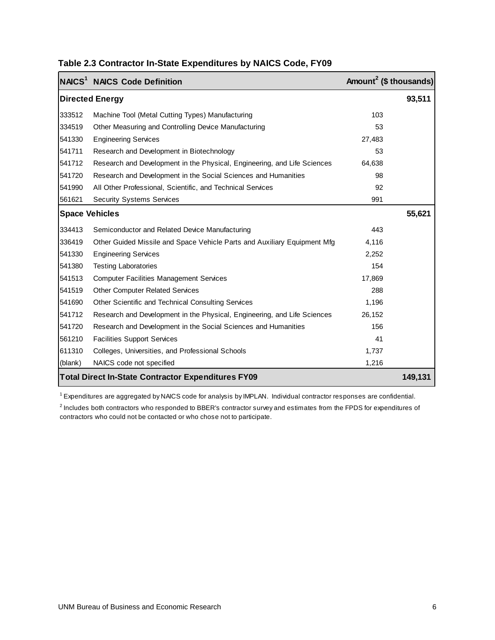|                                                                      | NAICS <sup>1</sup> NAICS Code Definition                                 | Amount <sup>2</sup> (\$ thousands) |        |  |  |
|----------------------------------------------------------------------|--------------------------------------------------------------------------|------------------------------------|--------|--|--|
|                                                                      | <b>Directed Energy</b>                                                   |                                    | 93,511 |  |  |
| 333512                                                               | Machine Tool (Metal Cutting Types) Manufacturing                         | 103                                |        |  |  |
| 334519                                                               | Other Measuring and Controlling Device Manufacturing                     | 53                                 |        |  |  |
| 541330                                                               | <b>Engineering Services</b>                                              | 27,483                             |        |  |  |
| 541711                                                               | Research and Development in Biotechnology                                | 53                                 |        |  |  |
| 541712                                                               | Research and Development in the Physical, Engineering, and Life Sciences | 64,638                             |        |  |  |
| 541720                                                               | Research and Development in the Social Sciences and Humanities           | 98                                 |        |  |  |
| 541990                                                               | All Other Professional, Scientific, and Technical Services               | 92                                 |        |  |  |
| 561621                                                               | <b>Security Systems Services</b>                                         | 991                                |        |  |  |
|                                                                      | <b>Space Vehicles</b>                                                    |                                    | 55,621 |  |  |
| 334413                                                               | Semiconductor and Related Device Manufacturing                           | 443                                |        |  |  |
| 336419                                                               | Other Guided Missile and Space Vehicle Parts and Auxiliary Equipment Mfg | 4,116                              |        |  |  |
| 541330                                                               | <b>Engineering Services</b>                                              | 2,252                              |        |  |  |
| 541380                                                               | <b>Testing Laboratories</b>                                              | 154                                |        |  |  |
| 541513                                                               | <b>Computer Facilities Management Services</b>                           | 17,869                             |        |  |  |
| 541519                                                               | <b>Other Computer Related Services</b>                                   | 288                                |        |  |  |
| 541690                                                               | Other Scientific and Technical Consulting Services                       | 1,196                              |        |  |  |
| 541712                                                               | Research and Development in the Physical, Engineering, and Life Sciences | 26,152                             |        |  |  |
| 541720                                                               | Research and Development in the Social Sciences and Humanities           | 156                                |        |  |  |
| 561210                                                               | <b>Facilities Support Services</b>                                       | 41                                 |        |  |  |
| 611310                                                               | Colleges, Universities, and Professional Schools                         | 1,737                              |        |  |  |
| (blank)                                                              | NAICS code not specified                                                 | 1,216                              |        |  |  |
| <b>Total Direct In-State Contractor Expenditures FY09</b><br>149,131 |                                                                          |                                    |        |  |  |

### **Table 2.3 Contractor In-State Expenditures by NAICS Code, FY09**

 $1$  Expenditures are aggregated by NAICS code for analysis by IMPLAN. Individual contractor responses are confidential.

<sup>2</sup> Includes both contractors who responded to BBER's contractor survey and estimates from the FPDS for expenditures of contractors who could not be contacted or who chose not to participate.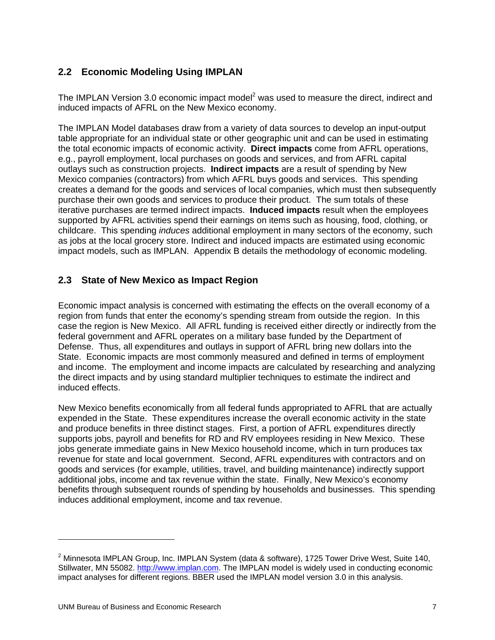## **2.2 Economic Modeling Using IMPLAN**

The IMPLAN Version 3.0 economic impact model<sup>2</sup> was used to measure the direct, indirect and induced impacts of AFRL on the New Mexico economy.

The IMPLAN Model databases draw from a variety of data sources to develop an input-output table appropriate for an individual state or other geographic unit and can be used in estimating the total economic impacts of economic activity. **Direct impacts** come from AFRL operations, e.g., payroll employment, local purchases on goods and services, and from AFRL capital outlays such as construction projects. **Indirect impacts** are a result of spending by New Mexico companies (contractors) from which AFRL buys goods and services. This spending creates a demand for the goods and services of local companies, which must then subsequently purchase their own goods and services to produce their product. The sum totals of these iterative purchases are termed indirect impacts. **Induced impacts** result when the employees supported by AFRL activities spend their earnings on items such as housing, food, clothing, or childcare. This spending *induces* additional employment in many sectors of the economy, such as jobs at the local grocery store. Indirect and induced impacts are estimated using economic impact models, such as IMPLAN. Appendix B details the methodology of economic modeling.

### **2.3 State of New Mexico as Impact Region**

Economic impact analysis is concerned with estimating the effects on the overall economy of a region from funds that enter the economy's spending stream from outside the region. In this case the region is New Mexico. All AFRL funding is received either directly or indirectly from the federal government and AFRL operates on a military base funded by the Department of Defense. Thus, all expenditures and outlays in support of AFRL bring new dollars into the State. Economic impacts are most commonly measured and defined in terms of employment and income. The employment and income impacts are calculated by researching and analyzing the direct impacts and by using standard multiplier techniques to estimate the indirect and induced effects.

New Mexico benefits economically from all federal funds appropriated to AFRL that are actually expended in the State. These expenditures increase the overall economic activity in the state and produce benefits in three distinct stages. First, a portion of AFRL expenditures directly supports jobs, payroll and benefits for RD and RV employees residing in New Mexico. These jobs generate immediate gains in New Mexico household income, which in turn produces tax revenue for state and local government. Second, AFRL expenditures with contractors and on goods and services (for example, utilities, travel, and building maintenance) indirectly support additional jobs, income and tax revenue within the state. Finally, New Mexico's economy benefits through subsequent rounds of spending by households and businesses. This spending induces additional employment, income and tax revenue.

 $\overline{a}$ 

<sup>&</sup>lt;sup>2</sup> Minnesota IMPLAN Group, Inc. IMPLAN System (data & software), 1725 Tower Drive West, Suite 140, Stillwater, MN 55082. http://www.implan.com. The IMPLAN model is widely used in conducting economic impact analyses for different regions. BBER used the IMPLAN model version 3.0 in this analysis.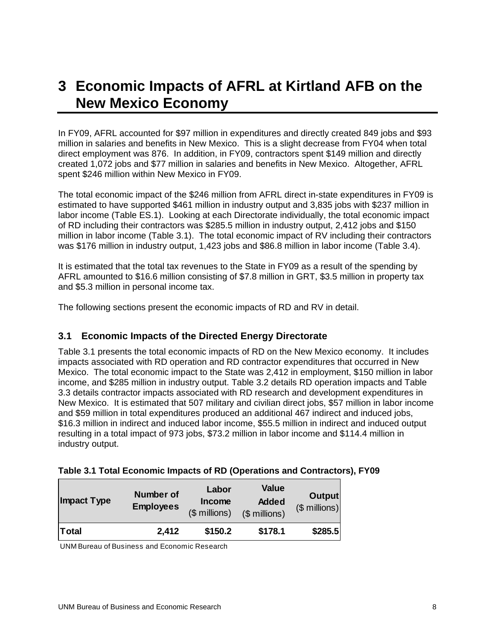## **3 Economic Impacts of AFRL at Kirtland AFB on the New Mexico Economy**

In FY09, AFRL accounted for \$97 million in expenditures and directly created 849 jobs and \$93 million in salaries and benefits in New Mexico. This is a slight decrease from FY04 when total direct employment was 876. In addition, in FY09, contractors spent \$149 million and directly created 1,072 jobs and \$77 million in salaries and benefits in New Mexico. Altogether, AFRL spent \$246 million within New Mexico in FY09.

The total economic impact of the \$246 million from AFRL direct in-state expenditures in FY09 is estimated to have supported \$461 million in industry output and 3,835 jobs with \$237 million in labor income (Table ES.1). Looking at each Directorate individually, the total economic impact of RD including their contractors was \$285.5 million in industry output, 2,412 jobs and \$150 million in labor income (Table 3.1). The total economic impact of RV including their contractors was \$176 million in industry output, 1,423 jobs and \$86.8 million in labor income (Table 3.4).

It is estimated that the total tax revenues to the State in FY09 as a result of the spending by AFRL amounted to \$16.6 million consisting of \$7.8 million in GRT, \$3.5 million in property tax and \$5.3 million in personal income tax.

The following sections present the economic impacts of RD and RV in detail.

### **3.1 Economic Impacts of the Directed Energy Directorate**

Table 3.1 presents the total economic impacts of RD on the New Mexico economy. It includes impacts associated with RD operation and RD contractor expenditures that occurred in New Mexico. The total economic impact to the State was 2,412 in employment, \$150 million in labor income, and \$285 million in industry output. Table 3.2 details RD operation impacts and Table 3.3 details contractor impacts associated with RD research and development expenditures in New Mexico. It is estimated that 507 military and civilian direct jobs, \$57 million in labor income and \$59 million in total expenditures produced an additional 467 indirect and induced jobs, \$16.3 million in indirect and induced labor income, \$55.5 million in indirect and induced output resulting in a total impact of 973 jobs, \$73.2 million in labor income and \$114.4 million in industry output.

| <b>Impact Type</b> | <b>Number of</b><br><b>Employees</b> | Labor<br>Income<br>$$$ millions) | <b>Value</b><br><b>Added</b><br>(\$ millions) | <b>Output</b><br>$($$ millions) |
|--------------------|--------------------------------------|----------------------------------|-----------------------------------------------|---------------------------------|
| Total              | 2,412                                | \$150.2                          | \$178.1                                       | \$285.5                         |

### **Table 3.1 Total Economic Impacts of RD (Operations and Contractors), FY09**

UNM Bureau of Business and Economic Research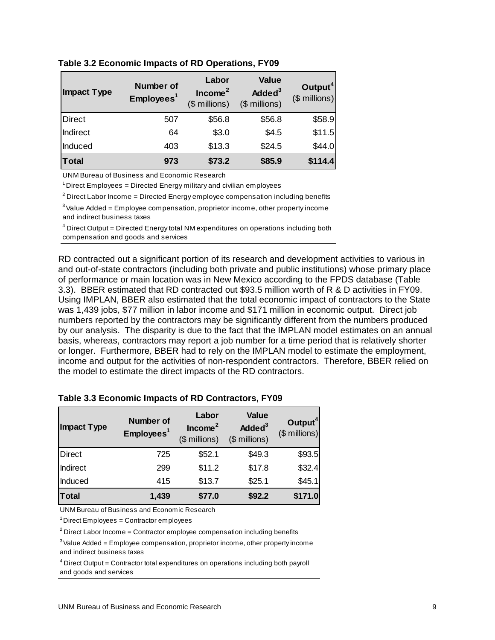| <b>Impact Type</b> | Number of<br>Employees <sup>1</sup> | Labor<br>Income <sup>2</sup><br>(\$ millions) | <b>Value</b><br>Added <sup>3</sup><br>(\$ millions) | Output <sup>4</sup><br>$($$ millions) |
|--------------------|-------------------------------------|-----------------------------------------------|-----------------------------------------------------|---------------------------------------|
| <b>Direct</b>      | 507                                 | \$56.8                                        | \$56.8                                              | \$58.9                                |
| Indirect           | 64                                  | \$3.0                                         | \$4.5                                               | \$11.5                                |
| Induced            | 403                                 | \$13.3                                        | \$24.5                                              | \$44.0                                |
| Total              | 973                                 | \$73.2                                        | \$85.9                                              | \$114.4                               |

**Table 3.2 Economic Impacts of RD Operations, FY09** 

UNM Bureau of Business and Economic Research

 $1$  Direct Employees = Directed Energy military and civilian employees

 $2$  Direct Labor Income = Directed Energy employee compensation including benefits

 $3$  Value Added = Employee compensation, proprietor income, other property income and indirect business taxes

 $4$  Direct Output = Directed Energy total NM expenditures on operations including both compensation and goods and services

RD contracted out a significant portion of its research and development activities to various in and out-of-state contractors (including both private and public institutions) whose primary place of performance or main location was in New Mexico according to the FPDS database (Table 3.3). BBER estimated that RD contracted out \$93.5 million worth of R & D activities in FY09. Using IMPLAN, BBER also estimated that the total economic impact of contractors to the State was 1,439 jobs, \$77 million in labor income and \$171 million in economic output. Direct job numbers reported by the contractors may be significantly different from the numbers produced by our analysis. The disparity is due to the fact that the IMPLAN model estimates on an annual basis, whereas, contractors may report a job number for a time period that is relatively shorter or longer. Furthermore, BBER had to rely on the IMPLAN model to estimate the employment, income and output for the activities of non-respondent contractors. Therefore, BBER relied on the model to estimate the direct impacts of the RD contractors.

| <b>Impact Type</b> | <b>Number of</b><br>Employes <sup>1</sup> | Labor<br>Income <sup>2</sup><br>$($$ millions) | <b>Value</b><br>Added <sup>3</sup><br>(\$ millions) | Output <sup>4</sup><br>$($$ millions) |
|--------------------|-------------------------------------------|------------------------------------------------|-----------------------------------------------------|---------------------------------------|
| Direct             | 725                                       | \$52.1                                         | \$49.3                                              | \$93.5                                |
| Indirect           | 299                                       | \$11.2                                         | \$17.8                                              | \$32.4]                               |
| Induced            | 415                                       | \$13.7                                         | \$25.1                                              | \$45.1]                               |
| <b>Total</b>       | 1,439                                     | \$77.0                                         | \$92.2                                              | \$171.0                               |

#### **Table 3.3 Economic Impacts of RD Contractors, FY09**

UNM Bureau of Business and Economic Research

 $1$  Direct Employees = Contractor employees

 $2^2$  Direct Labor Income = Contractor employee compensation including benefits

 $3$  Value Added = Employee compensation, proprietor income, other property income and indirect business taxes

 $4$  Direct Output = Contractor total expenditures on operations including both payroll and goods and services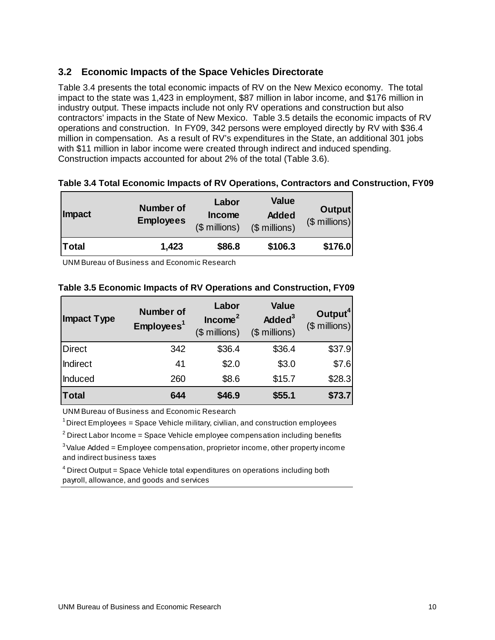### **3.2 Economic Impacts of the Space Vehicles Directorate**

Table 3.4 presents the total economic impacts of RV on the New Mexico economy. The total impact to the state was 1,423 in employment, \$87 million in labor income, and \$176 million in industry output. These impacts include not only RV operations and construction but also contractors' impacts in the State of New Mexico. Table 3.5 details the economic impacts of RV operations and construction. In FY09, 342 persons were employed directly by RV with \$36.4 million in compensation. As a result of RV's expenditures in the State, an additional 301 jobs with \$11 million in labor income were created through indirect and induced spending. Construction impacts accounted for about 2% of the total (Table 3.6).

| <b>Impact</b> | <b>Number of</b><br><b>Employees</b> | Labor<br>Income<br>$($$ millions) | <b>Value</b><br><b>Added</b><br>(\$ millions) | <b>Output</b><br>$($$ millions) |
|---------------|--------------------------------------|-----------------------------------|-----------------------------------------------|---------------------------------|
| <b>Total</b>  | 1,423                                | \$86.8                            | \$106.3                                       | \$176.0                         |

### **Table 3.4 Total Economic Impacts of RV Operations, Contractors and Construction, FY09**

UNM Bureau of Business and Economic Research

| <b>Impact Type</b> | <b>Number of</b><br>Employees <sup>1</sup> | Labor<br>Income <sup>2</sup><br>$($$ millions) | <b>Value</b><br>Added <sup>3</sup><br>$($$ millions) | Output <sup>4</sup><br>$($$ millions) |
|--------------------|--------------------------------------------|------------------------------------------------|------------------------------------------------------|---------------------------------------|
| Direct             | 342                                        | \$36.4                                         | \$36.4                                               | \$37.9                                |
| Indirect           | 41                                         | \$2.0                                          | \$3.0                                                | \$7.6                                 |
| Induced            | 260                                        | \$8.6                                          | \$15.7                                               | \$28.3                                |
| Total              | 644                                        | \$46.9                                         | \$55.1                                               | \$73.7                                |

#### **Table 3.5 Economic Impacts of RV Operations and Construction, FY09**

UNM Bureau of Business and Economic Research

 $1$  Direct Employees = Space Vehicle military, civilian, and construction employees

 $2^2$  Direct Labor Income = Space Vehicle employee compensation including benefits

 $3$  Value Added = Employee compensation, proprietor income, other property income and indirect business taxes

<sup>4</sup> Direct Output = Space Vehicle total expenditures on operations including both payroll, allowance, and goods and services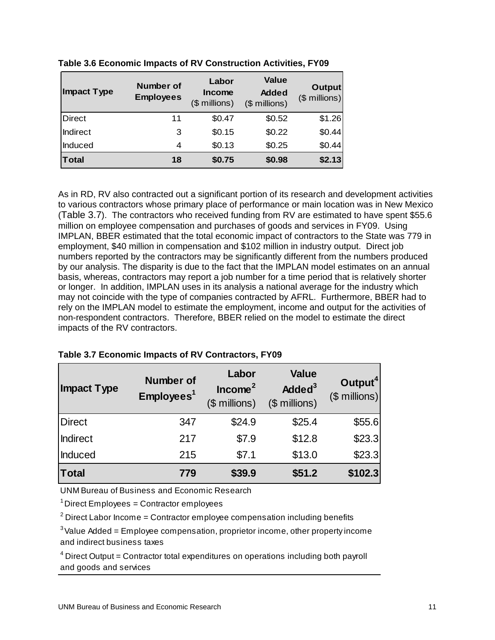| <b>Impact Type</b> | Number of<br><b>Employees</b> | Labor<br><b>Income</b><br>$$$ millions) | <b>Value</b><br><b>Added</b><br>(\$ millions) | <b>Output</b><br>$($$ millions) |
|--------------------|-------------------------------|-----------------------------------------|-----------------------------------------------|---------------------------------|
| <b>Direct</b>      | 11                            | \$0.47                                  | \$0.52                                        | \$1.26                          |
| Indirect           | 3                             | \$0.15                                  | \$0.22                                        | \$0.44                          |
| Induced            | 4                             | \$0.13                                  | \$0.25                                        | \$0.44                          |
| <b>Total</b>       | 18                            | \$0.75                                  | \$0.98                                        | \$2.13                          |

**Table 3.6 Economic Impacts of RV Construction Activities, FY09** 

As in RD, RV also contracted out a significant portion of its research and development activities to various contractors whose primary place of performance or main location was in New Mexico (Table 3.7). The contractors who received funding from RV are estimated to have spent \$55.6 million on employee compensation and purchases of goods and services in FY09. Using IMPLAN, BBER estimated that the total economic impact of contractors to the State was 779 in employment, \$40 million in compensation and \$102 million in industry output. Direct job numbers reported by the contractors may be significantly different from the numbers produced by our analysis. The disparity is due to the fact that the IMPLAN model estimates on an annual basis, whereas, contractors may report a job number for a time period that is relatively shorter or longer. In addition, IMPLAN uses in its analysis a national average for the industry which may not coincide with the type of companies contracted by AFRL. Furthermore, BBER had to rely on the IMPLAN model to estimate the employment, income and output for the activities of non-respondent contractors. Therefore, BBER relied on the model to estimate the direct impacts of the RV contractors.

| <b>Impact Type</b> | <b>Number of</b><br>Employees <sup>1</sup> | Labor<br>Income <sup>2</sup><br>$($$ millions) | <b>Value</b><br>Added <sup>3</sup><br>$($$ millions) | Output <sup>4</sup><br>$($$ millions) |
|--------------------|--------------------------------------------|------------------------------------------------|------------------------------------------------------|---------------------------------------|
| Direct             | 347                                        | \$24.9                                         | \$25.4                                               | \$55.6                                |
| <b>Indirect</b>    | 217                                        | \$7.9                                          | \$12.8                                               | \$23.3                                |
| Induced            | 215                                        | \$7.1                                          | \$13.0                                               | \$23.3                                |
| <b>Total</b>       | 779                                        | \$39.9                                         | \$51.2                                               | \$102.3                               |

#### **Table 3.7 Economic Impacts of RV Contractors, FY09**

UNM Bureau of Business and Economic Research

<sup>1</sup> Direct Employees = Contractor employees

 $2$  Direct Labor Income = Contractor employee compensation including benefits

 $3$  Value Added = Employee compensation, proprietor income, other property income and indirect business taxes

 $4$  Direct Output = Contractor total expenditures on operations including both payroll and goods and services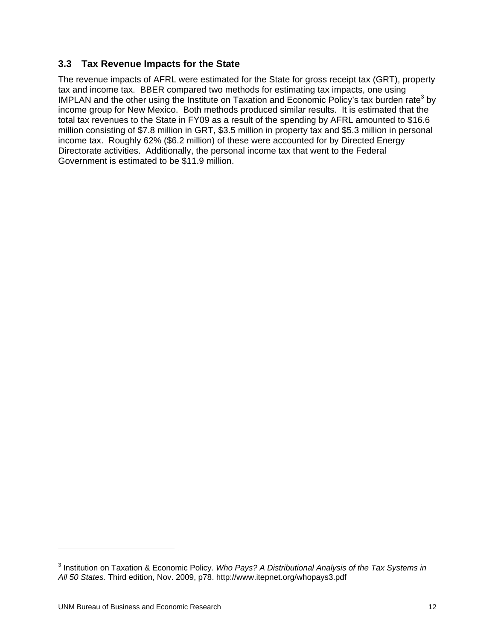### **3.3 Tax Revenue Impacts for the State**

The revenue impacts of AFRL were estimated for the State for gross receipt tax (GRT), property tax and income tax. BBER compared two methods for estimating tax impacts, one using IMPLAN and the other using the Institute on Taxation and Economic Policy's tax burden rate<sup>3</sup> by income group for New Mexico. Both methods produced similar results. It is estimated that the total tax revenues to the State in FY09 as a result of the spending by AFRL amounted to \$16.6 million consisting of \$7.8 million in GRT, \$3.5 million in property tax and \$5.3 million in personal income tax. Roughly 62% (\$6.2 million) of these were accounted for by Directed Energy Directorate activities. Additionally, the personal income tax that went to the Federal Government is estimated to be \$11.9 million.

<sup>3</sup> Institution on Taxation & Economic Policy. *Who Pays? A Distributional Analysis of the Tax Systems in All 50 States.* Third edition, Nov. 2009, p78. http://www.itepnet.org/whopays3.pdf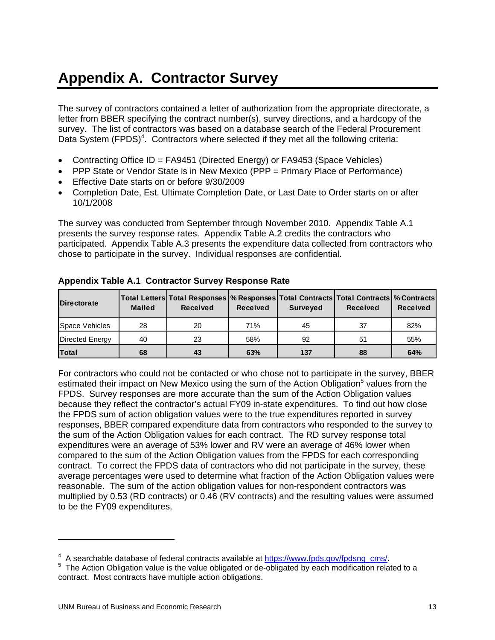# **Appendix A. Contractor Survey**

The survey of contractors contained a letter of authorization from the appropriate directorate, a letter from BBER specifying the contract number(s), survey directions, and a hardcopy of the survey. The list of contractors was based on a database search of the Federal Procurement Data System  $(FPDS)^4$ . Contractors where selected if they met all the following criteria:

- Contracting Office ID = FA9451 (Directed Energy) or FA9453 (Space Vehicles)
- PPP State or Vendor State is in New Mexico (PPP = Primary Place of Performance)
- Effective Date starts on or before 9/30/2009
- Completion Date, Est. Ultimate Completion Date, or Last Date to Order starts on or after 10/1/2008

The survey was conducted from September through November 2010. Appendix Table A.1 presents the survey response rates. Appendix Table A.2 credits the contractors who participated. Appendix Table A.3 presents the expenditure data collected from contractors who chose to participate in the survey. Individual responses are confidential.

| <b>Directorate</b> | <b>Mailed</b> | Total Letters   Total Responses   % Responses   Total Contracts   Total Contracts   % Contracts  <br><b>Received</b> | <b>Received</b> | <b>Surveyed</b> | <b>Received</b> | <b>Received</b> |
|--------------------|---------------|----------------------------------------------------------------------------------------------------------------------|-----------------|-----------------|-----------------|-----------------|
| Space Vehicles     | 28            | 20                                                                                                                   | 71%             | 45              | 37              | 82%             |
| Directed Energy    | 40            | 23                                                                                                                   | 58%             | 92              | 51              | 55%             |
| <b>Total</b>       | 68            | 43                                                                                                                   | 63%             | 137             | 88              | 64%             |

#### **Appendix Table A.1 Contractor Survey Response Rate**

For contractors who could not be contacted or who chose not to participate in the survey, BBER estimated their impact on New Mexico using the sum of the Action Obligation<sup>5</sup> values from the FPDS. Survey responses are more accurate than the sum of the Action Obligation values because they reflect the contractor's actual FY09 in-state expenditures. To find out how close the FPDS sum of action obligation values were to the true expenditures reported in survey responses, BBER compared expenditure data from contractors who responded to the survey to the sum of the Action Obligation values for each contract. The RD survey response total expenditures were an average of 53% lower and RV were an average of 46% lower when compared to the sum of the Action Obligation values from the FPDS for each corresponding contract. To correct the FPDS data of contractors who did not participate in the survey, these average percentages were used to determine what fraction of the Action Obligation values were reasonable. The sum of the action obligation values for non-respondent contractors was multiplied by 0.53 (RD contracts) or 0.46 (RV contracts) and the resulting values were assumed to be the FY09 expenditures.

 $\overline{a}$ 

<sup>&</sup>lt;sup>4</sup> A searchable database of federal contracts available at https://www.fpds.gov/fpdsng\_cms/.

 $^{\text{4}}\,$  A searchable database of federal contracts available at <u>https://www.fpds.gov/fpdsng\_cms/</u>.<br><sup>5</sup> The Action Obligation value is the value obligated or de-obligated by each modification related to a contract. Most contracts have multiple action obligations.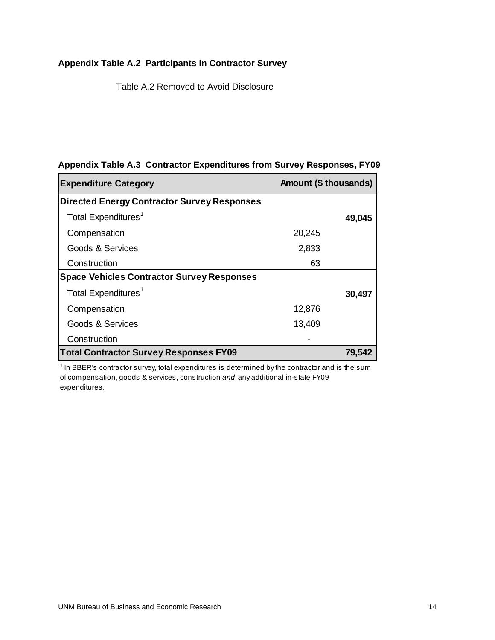## **Appendix Table A.2 Participants in Contractor Survey**

Table A.2 Removed to Avoid Disclosure

| <b>Expenditure Category</b>                        | Amount (\$ thousands) |        |
|----------------------------------------------------|-----------------------|--------|
| <b>Directed Energy Contractor Survey Responses</b> |                       |        |
| Total Expenditures <sup>1</sup>                    |                       | 49,045 |
| Compensation                                       | 20,245                |        |
| Goods & Services                                   | 2,833                 |        |
| Construction                                       | 63                    |        |
| <b>Space Vehicles Contractor Survey Responses</b>  |                       |        |
| Total Expenditures <sup>1</sup>                    |                       | 30,497 |
| Compensation                                       | 12,876                |        |
| Goods & Services                                   | 13,409                |        |
| Construction                                       |                       |        |
| <b>Total Contractor Survey Responses FY09</b>      |                       |        |

### **Appendix Table A.3 Contractor Expenditures from Survey Responses, FY09**

<sup>1</sup> In BBER's contractor survey, total expenditures is determined by the contractor and is the sum of compensation, goods & services, construction *and* any additional in-state FY09 expenditures.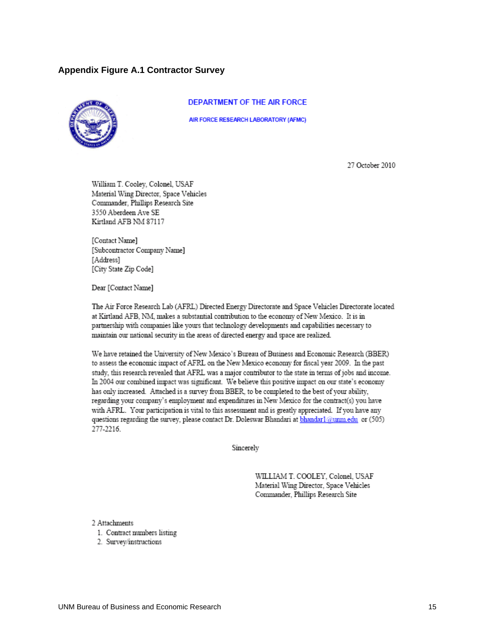#### **Appendix Figure A.1 Contractor Survey**



#### DEPARTMENT OF THE AIR FORCE

AIR FORCE RESEARCH LABORATORY (AFMC)

27 October 2010

William T. Cooley, Colonel, USAF Material Wing Director, Space Vehicles Commander, Phillips Research Site 3550 Aberdeen Ave SE Kirtland AFB NM 87117

[Contact Name] [Subcontractor Company Name] [Address] [City State Zip Code]

Dear [Contact Name]

The Air Force Research Lab (AFRL) Directed Energy Directorate and Space Vehicles Directorate located at Kirtland AFB, NM, makes a substantial contribution to the economy of New Mexico. It is in partnership with companies like yours that technology developments and capabilities necessary to maintain our national security in the areas of directed energy and space are realized.

We have retained the University of New Mexico's Bureau of Business and Economic Research (BBER) to assess the economic impact of AFRL on the New Mexico economy for fiscal year 2009. In the past study, this research revealed that AFRL was a major contributor to the state in terms of jobs and income. In 2004 our combined impact was significant. We believe this positive impact on our state's economy has only increased. Attached is a survey from BBER, to be completed to the best of your ability, regarding your company's employment and expenditures in New Mexico for the contract(s) you have with AFRL. Your participation is vital to this assessment and is greatly appreciated. If you have any questions regarding the survey, please contact Dr. Doleswar Bhandari at bhandar1@unm.edu or (505) 277-2216

Sincerely

WILLIAM T. COOLEY. Colonel. USAF Material Wing Director, Space Vehicles Commander, Phillips Research Site

2 Attachments

- 1. Contract numbers listing
- 2. Survey/instructions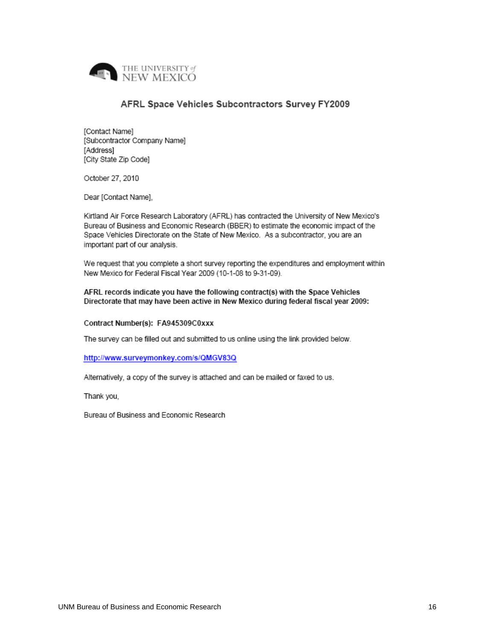

#### AFRL Space Vehicles Subcontractors Survey FY2009

[Contact Name] [Subcontractor Company Name] [Address] [City State Zip Code]

October 27, 2010

Dear [Contact Name],

Kirtland Air Force Research Laboratory (AFRL) has contracted the University of New Mexico's Bureau of Business and Economic Research (BBER) to estimate the economic impact of the Space Vehicles Directorate on the State of New Mexico. As a subcontractor, you are an important part of our analysis.

We request that you complete a short survey reporting the expenditures and employment within New Mexico for Federal Fiscal Year 2009 (10-1-08 to 9-31-09).

AFRL records indicate you have the following contract(s) with the Space Vehicles Directorate that may have been active in New Mexico during federal fiscal year 2009:

#### Contract Number(s): FA945309C0xxx

The survey can be filled out and submitted to us online using the link provided below.

#### http://www.surveymonkey.com/s/QMGV83Q

Alternatively, a copy of the survey is attached and can be mailed or faxed to us.

Thank you,

Bureau of Business and Economic Research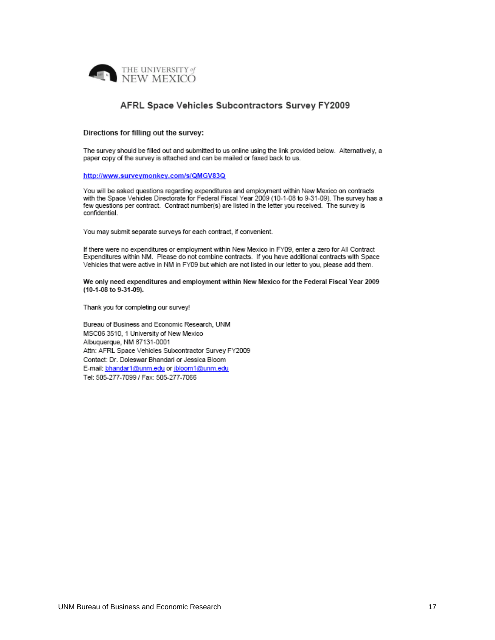

#### AFRL Space Vehicles Subcontractors Survey FY2009

#### Directions for filling out the survey:

The survey should be filled out and submitted to us online using the link provided below. Alternatively, a paper copy of the survey is attached and can be mailed or faxed back to us.

#### http://www.surveymonkey.com/s/QMGV83Q

You will be asked questions regarding expenditures and employment within New Mexico on contracts with the Space Vehicles Directorate for Federal Fiscal Year 2009 (10-1-08 to 9-31-09). The survey has a few questions per contract. Contract number(s) are listed in the letter you received. The survey is confidential.

You may submit separate surveys for each contract, if convenient.

If there were no expenditures or employment within New Mexico in FY09, enter a zero for All Contract Expenditures within NM. Please do not combine contracts. If you have additional contracts with Space Vehicles that were active in NM in FY09 but which are not listed in our letter to you, please add them.

We only need expenditures and employment within New Mexico for the Federal Fiscal Year 2009 (10-1-08 to 9-31-09).

Thank you for completing our survey!

Bureau of Business and Economic Research, UNM MSC06 3510, 1 University of New Mexico Albuquerque, NM 87131-0001 Attn: AFRL Space Vehicles Subcontractor Survey FY2009 Contact: Dr. Doleswar Bhandari or Jessica Bloom E-mail: bhandar1@unm.edu or jbloom1@unm.edu Tel: 505-277-7099 / Fax: 505-277-7066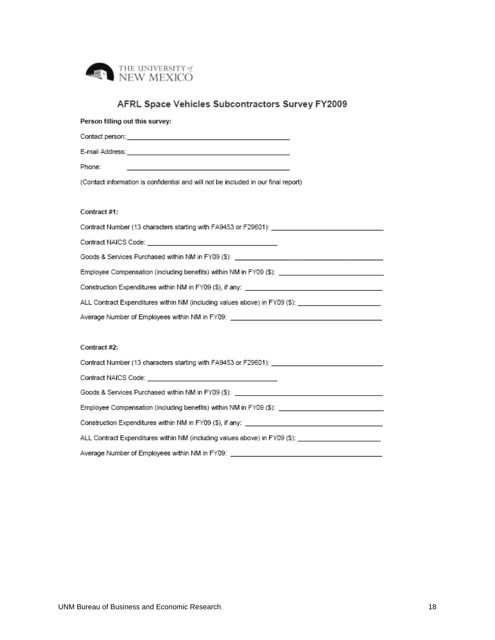

## AFRL Space Vehicles Subcontractors Survey FY2009

| Person filling out this survey:                                                                                |
|----------------------------------------------------------------------------------------------------------------|
|                                                                                                                |
|                                                                                                                |
| Phone:                                                                                                         |
| (Contact information is confidential and will not be included in our final report)                             |
|                                                                                                                |
| Contract #1:                                                                                                   |
| Contract Number (13 characters starting with FA9453 or F29601): ___________________________________            |
|                                                                                                                |
|                                                                                                                |
| Employee Compensation (including benefits) within NM in FY09 (\$): _________________________________           |
|                                                                                                                |
| ALL Contract Expenditures within NM (including values above) in FY09 (\$): ________________________            |
| Average Number of Employees within NM in FY09: _________________________________                               |
|                                                                                                                |
| Contract#2:                                                                                                    |
| Contract Number (13 characters starting with FA9453 or F29601):                                                |
|                                                                                                                |
| Goods & Services Purchased within NM in FY09 (\$): ______________________________                              |
| Employee Compensation (including benefits) within NM in FY09 (\$): _________________________________           |
| Construction Expenditures within NM in FY09 (\$), if any: ________________________                             |
| ALL Contract Expenditures within NM (including values above) in FY09 (\$): _________________________           |
| Average Number of Employees within NM in FY09: [[11] Matter and The Mumman Control of The Mumman Control of Th |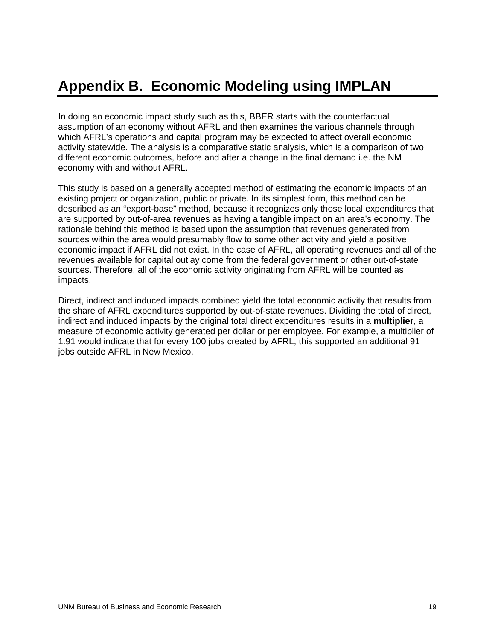# **Appendix B. Economic Modeling using IMPLAN**

In doing an economic impact study such as this, BBER starts with the counterfactual assumption of an economy without AFRL and then examines the various channels through which AFRL's operations and capital program may be expected to affect overall economic activity statewide. The analysis is a comparative static analysis, which is a comparison of two different economic outcomes, before and after a change in the final demand i.e. the NM economy with and without AFRL.

This study is based on a generally accepted method of estimating the economic impacts of an existing project or organization, public or private. In its simplest form, this method can be described as an "export-base" method, because it recognizes only those local expenditures that are supported by out-of-area revenues as having a tangible impact on an area's economy. The rationale behind this method is based upon the assumption that revenues generated from sources within the area would presumably flow to some other activity and yield a positive economic impact if AFRL did not exist. In the case of AFRL, all operating revenues and all of the revenues available for capital outlay come from the federal government or other out-of-state sources. Therefore, all of the economic activity originating from AFRL will be counted as impacts.

Direct, indirect and induced impacts combined yield the total economic activity that results from the share of AFRL expenditures supported by out-of-state revenues. Dividing the total of direct, indirect and induced impacts by the original total direct expenditures results in a **multiplier**, a measure of economic activity generated per dollar or per employee. For example, a multiplier of 1.91 would indicate that for every 100 jobs created by AFRL, this supported an additional 91 jobs outside AFRL in New Mexico.